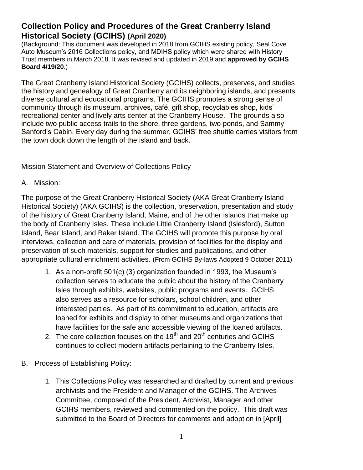# **Collection Policy and Procedures of the Great Cranberry Island Historical Society (GCIHS) (April 2020)**

(Background: This document was developed in 2018 from GCIHS existing policy, Seal Cove Auto Museum's 2016 Collections policy, and MDIHS policy which were shared with History Trust members in March 2018. It was revised and updated in 2019 and **approved by GCIHS Board 4/19/20**.)

The Great Cranberry Island Historical Society (GCIHS) collects, preserves, and studies the history and genealogy of Great Cranberry and its neighboring islands, and presents diverse cultural and educational programs. The GCIHS promotes a strong sense of community through its museum, archives, café, gift shop, recyclables shop, kids' recreational center and lively arts center at the Cranberry House. The grounds also include two public access trails to the shore, three gardens, two ponds, and Sammy Sanford's Cabin. Every day during the summer, GCIHS' free shuttle carries visitors from the town dock down the length of the island and back.

Mission Statement and Overview of Collections Policy

A. Mission:

The purpose of the Great Cranberry Historical Society (AKA Great Cranberry Island Historical Society) (AKA GCIHS) is the collection, preservation, presentation and study of the history of Great Cranberry Island, Maine, and of the other islands that make up the body of Cranberry Isles. These include Little Cranberry Island (Islesford), Sutton Island, Bear Island, and Baker Island. The GCIHS will promote this purpose by oral interviews, collection and care of materials, provision of facilities for the display and preservation of such materials, support for studies and publications, and other appropriate cultural enrichment activities. (From GCIHS By-laws Adopted 9 October 2011)

- 1. As a non-profit 501(c) (3) organization founded in 1993, the Museum's collection serves to educate the public about the history of the Cranberry Isles through exhibits, websites, public programs and events. GCIHS also serves as a resource for scholars, school children, and other interested parties. As part of its commitment to education, artifacts are loaned for exhibits and display to other museums and organizations that have facilities for the safe and accessible viewing of the loaned artifacts.
- 2. The core collection focuses on the 19<sup>th</sup> and  $20<sup>th</sup>$  centuries and GCIHS continues to collect modern artifacts pertaining to the Cranberry Isles.
- B. Process of Establishing Policy:
	- 1. This Collections Policy was researched and drafted by current and previous archivists and the President and Manager of the GCIHS. The Archives Committee, composed of the President, Archivist, Manager and other GCIHS members, reviewed and commented on the policy. This draft was submitted to the Board of Directors for comments and adoption in [April]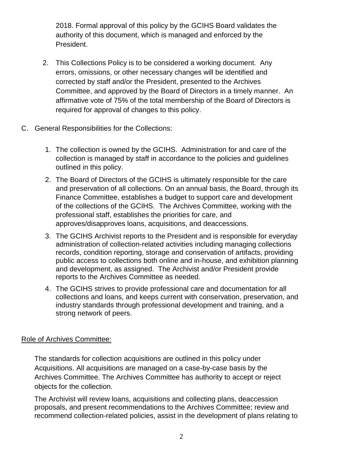2018. Formal approval of this policy by the GCIHS Board validates the authority of this document, which is managed and enforced by the President.

- 2. This Collections Policy is to be considered a working document. Any errors, omissions, or other necessary changes will be identified and corrected by staff and/or the President, presented to the Archives Committee, and approved by the Board of Directors in a timely manner. An affirmative vote of 75% of the total membership of the Board of Directors is required for approval of changes to this policy.
- C. General Responsibilities for the Collections:
	- 1. The collection is owned by the GCIHS. Administration for and care of the collection is managed by staff in accordance to the policies and guidelines outlined in this policy.
	- 2. The Board of Directors of the GCIHS is ultimately responsible for the care and preservation of all collections. On an annual basis, the Board, through its Finance Committee, establishes a budget to support care and development of the collections of the GCIHS. The Archives Committee, working with the professional staff, establishes the priorities for care, and approves/disapproves loans, acquisitions, and deaccessions.
	- 3. The GCIHS Archivist reports to the President and is responsible for everyday administration of collection-related activities including managing collections records, condition reporting, storage and conservation of artifacts, providing public access to collections both online and in-house, and exhibition planning and development, as assigned. The Archivist and/or President provide reports to the Archives Committee as needed.
	- 4. The GCIHS strives to provide professional care and documentation for all collections and loans, and keeps current with conservation, preservation, and industry standards through professional development and training, and a strong network of peers.

#### Role of Archives Committee:

The standards for collection acquisitions are outlined in this policy under Acquisitions. All acquisitions are managed on a case-by-case basis by the Archives Committee. The Archives Committee has authority to accept or reject objects for the collection.

The Archivist will review loans, acquisitions and collecting plans, deaccession proposals, and present recommendations to the Archives Committee; review and recommend collection-related policies, assist in the development of plans relating to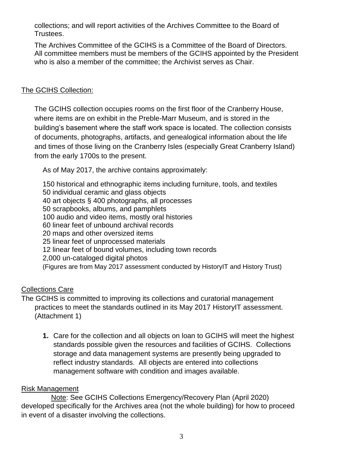collections; and will report activities of the Archives Committee to the Board of Trustees.

The Archives Committee of the GCIHS is a Committee of the Board of Directors. All committee members must be members of the GCIHS appointed by the President who is also a member of the committee; the Archivist serves as Chair.

## The GCIHS Collection:

The GCIHS collection occupies rooms on the first floor of the Cranberry House, where items are on exhibit in the Preble-Marr Museum, and is stored in the building's basement where the staff work space is located. The collection consists of documents, photographs, artifacts, and genealogical information about the life and times of those living on the Cranberry Isles (especially Great Cranberry Island) from the early 1700s to the present.

As of May 2017, the archive contains approximately:

150 historical and ethnographic items including furniture, tools, and textiles 50 individual ceramic and glass objects 40 art objects § 400 photographs, all processes 50 scrapbooks, albums, and pamphlets 100 audio and video items, mostly oral histories 60 linear feet of unbound archival records 20 maps and other oversized items 25 linear feet of unprocessed materials 12 linear feet of bound volumes, including town records 2,000 un-cataloged digital photos (Figures are from May 2017 assessment conducted by HistoryIT and History Trust)

## Collections Care

The GCIHS is committed to improving its collections and curatorial management practices to meet the standards outlined in its May 2017 HistoryIT assessment. (Attachment 1)

**1.** Care for the collection and all objects on loan to GCIHS will meet the highest standards possible given the resources and facilities of GCIHS. Collections storage and data management systems are presently being upgraded to reflect industry standards. All objects are entered into collections management software with condition and images available.

## Risk Management

Note: See GCIHS Collections Emergency/Recovery Plan (April 2020) developed specifically for the Archives area (not the whole building) for how to proceed in event of a disaster involving the collections.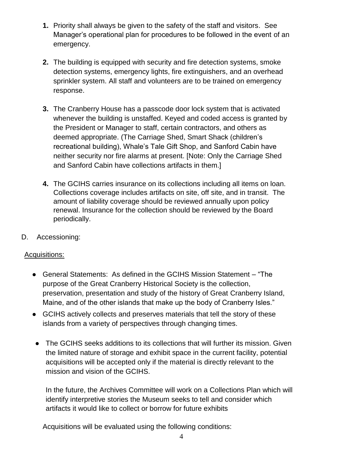- **1.** Priority shall always be given to the safety of the staff and visitors. See Manager's operational plan for procedures to be followed in the event of an emergency.
- **2.** The building is equipped with security and fire detection systems, smoke detection systems, emergency lights, fire extinguishers, and an overhead sprinkler system. All staff and volunteers are to be trained on emergency response.
- **3.** The Cranberry House has a passcode door lock system that is activated whenever the building is unstaffed. Keyed and coded access is granted by the President or Manager to staff, certain contractors, and others as deemed appropriate. (The Carriage Shed, Smart Shack (children's recreational building), Whale's Tale Gift Shop, and Sanford Cabin have neither security nor fire alarms at present. [Note: Only the Carriage Shed and Sanford Cabin have collections artifacts in them.]
- **4.** The GCIHS carries insurance on its collections including all items on loan. Collections coverage includes artifacts on site, off site, and in transit. The amount of liability coverage should be reviewed annually upon policy renewal. Insurance for the collection should be reviewed by the Board periodically.
- D. Accessioning:

## Acquisitions:

- **●** General Statements: As defined in the GCIHS Mission Statement "The purpose of the Great Cranberry Historical Society is the collection, preservation, presentation and study of the history of Great Cranberry Island, Maine, and of the other islands that make up the body of Cranberry Isles."
- **●** GCIHS actively collects and preserves materials that tell the story of these islands from a variety of perspectives through changing times.
- **●** The GCIHS seeks additions to its collections that will further its mission. Given the limited nature of storage and exhibit space in the current facility, potential acquisitions will be accepted only if the material is directly relevant to the mission and vision of the GCIHS.

In the future, the Archives Committee will work on a Collections Plan which will identify interpretive stories the Museum seeks to tell and consider which artifacts it would like to collect or borrow for future exhibits

Acquisitions will be evaluated using the following conditions: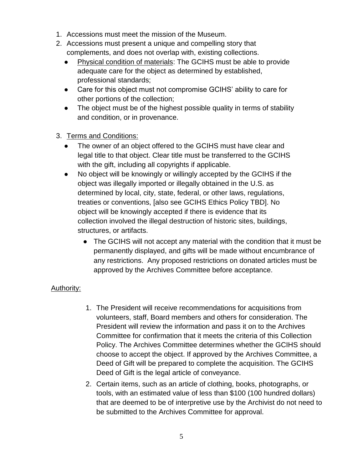- 1. Accessions must meet the mission of the Museum.
- 2. Accessions must present a unique and compelling story that complements, and does not overlap with, existing collections.
	- Physical condition of materials: The GCIHS must be able to provide adequate care for the object as determined by established, professional standards;
	- Care for this object must not compromise GCIHS' ability to care for other portions of the collection;
	- The object must be of the highest possible quality in terms of stability and condition, or in provenance.
- 3. Terms and Conditions:
	- The owner of an object offered to the GCIHS must have clear and legal title to that object. Clear title must be transferred to the GCIHS with the gift, including all copyrights if applicable.
	- No object will be knowingly or willingly accepted by the GCIHS if the object was illegally imported or illegally obtained in the U.S. as determined by local, city, state, federal, or other laws, regulations, treaties or conventions, [also see GCIHS Ethics Policy TBD]. No object will be knowingly accepted if there is evidence that its collection involved the illegal destruction of historic sites, buildings, structures, or artifacts.
		- The GCIHS will not accept any material with the condition that it must be permanently displayed, and gifts will be made without encumbrance of any restrictions. Any proposed restrictions on donated articles must be approved by the Archives Committee before acceptance.

## Authority:

- 1. The President will receive recommendations for acquisitions from volunteers, staff, Board members and others for consideration. The President will review the information and pass it on to the Archives Committee for confirmation that it meets the criteria of this Collection Policy. The Archives Committee determines whether the GCIHS should choose to accept the object. If approved by the Archives Committee, a Deed of Gift will be prepared to complete the acquisition. The GCIHS Deed of Gift is the legal article of conveyance.
- 2. Certain items, such as an article of clothing, books, photographs, or tools, with an estimated value of less than \$100 (100 hundred dollars) that are deemed to be of interpretive use by the Archivist do not need to be submitted to the Archives Committee for approval.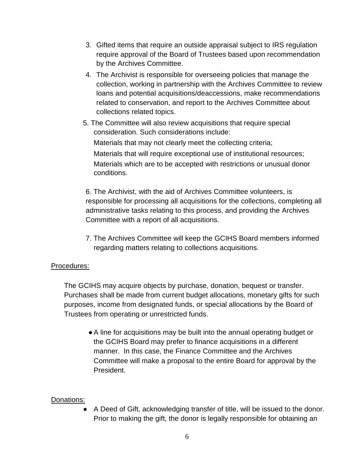- 3. Gifted items that require an outside appraisal subject to IRS regulation require approval of the Board of Trustees based upon recommendation by the Archives Committee.
- 4. The Archivist is responsible for overseeing policies that manage the collection, working in partnership with the Archives Committee to review loans and potential acquisitions/deaccessions, make recommendations related to conservation, and report to the Archives Committee about collections related topics.
- 5. The Committee will also review acquisitions that require special consideration. Such considerations include: Materials that may not clearly meet the collecting criteria; Materials that will require exceptional use of institutional resources; Materials which are to be accepted with restrictions or unusual donor conditions.

6. The Archivist, with the aid of Archives Committee volunteers, is responsible for processing all acquisitions for the collections, completing all administrative tasks relating to this process, and providing the Archives Committee with a report of all acquisitions.

7. The Archives Committee will keep the GCIHS Board members informed regarding matters relating to collections acquisitions.

## Procedures:

The GCIHS may acquire objects by purchase, donation, bequest or transfer. Purchases shall be made from current budget allocations, monetary gifts for such purposes, income from designated funds, or special allocations by the Board of Trustees from operating or unrestricted funds.

**●**A line for acquisitions may be built into the annual operating budget or the GCIHS Board may prefer to finance acquisitions in a different manner. In this case, the Finance Committee and the Archives Committee will make a proposal to the entire Board for approval by the President.

## Donations:

● A Deed of Gift, acknowledging transfer of title, will be issued to the donor. Prior to making the gift, the donor is legally responsible for obtaining an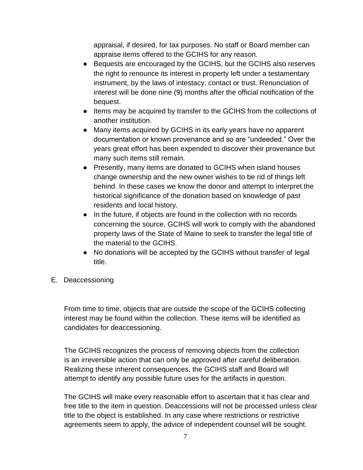appraisal, if desired, for tax purposes. No staff or Board member can appraise items offered to the GCIHS for any reason.

- Bequests are encouraged by the GCIHS, but the GCIHS also reserves the right to renounce its interest in property left under a testamentary instrument, by the laws of intestacy, contact or trust. Renunciation of interest will be done nine (9) months after the official notification of the bequest.
- Items may be acquired by transfer to the GCIHS from the collections of another institution.
- Many items acquired by GCIHS in its early years have no apparent documentation or known provenance and so are "undeeded." Over the years great effort has been expended to discover their provenance but many such items still remain.
- Presently, many items are donated to GCIHS when island houses change ownership and the new owner wishes to be rid of things left behind. In these cases we know the donor and attempt to interpret the historical significance of the donation based on knowledge of past residents and local history.
- In the future, if objects are found in the collection with no records concerning the source, GCIHS will work to comply with the abandoned property laws of the State of Maine to seek to transfer the legal title of the material to the GCIHS.
- No donations will be accepted by the GCIHS without transfer of legal title.
- E. Deaccessioning

From time to time, objects that are outside the scope of the GCIHS collecting interest may be found within the collection. These items will be identified as candidates for deaccessioning.

The GCIHS recognizes the process of removing objects from the collection is an irreversible action that can only be approved after careful deliberation. Realizing these inherent consequences, the GCIHS staff and Board will attempt to identify any possible future uses for the artifacts in question.

The GCIHS will make every reasonable effort to ascertain that it has clear and free title to the item in question. Deaccessions will not be processed unless clear title to the object is established. In any case where restrictions or restrictive agreements seem to apply, the advice of independent counsel will be sought.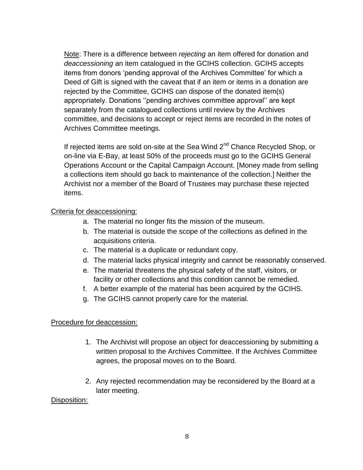Note: There is a difference between *rejecting* an item offered for donation and *deaccessioning* an item catalogued in the GCIHS collection. GCIHS accepts items from donors 'pending approval of the Archives Committee' for which a Deed of Gift is signed with the caveat that if an item or items in a donation are rejected by the Committee, GCIHS can dispose of the donated item(s) appropriately. Donations ''pending archives committee approval'' are kept separately from the catalogued collections until review by the Archives committee, and decisions to accept or reject items are recorded in the notes of Archives Committee meetings.

If rejected items are sold on-site at the Sea Wind  $2<sup>nd</sup>$  Chance Recycled Shop, or on-line via E-Bay, at least 50% of the proceeds must go to the GCIHS General Operations Account or the Capital Campaign Account. [Money made from selling a collections item should go back to maintenance of the collection.] Neither the Archivist nor a member of the Board of Trustees may purchase these rejected items.

#### Criteria for deaccessioning:

- a. The material no longer fits the mission of the museum.
- b. The material is outside the scope of the collections as defined in the acquisitions criteria.
- c. The material is a duplicate or redundant copy.
- d. The material lacks physical integrity and cannot be reasonably conserved.
- e. The material threatens the physical safety of the staff, visitors, or facility or other collections and this condition cannot be remedied.
- f. A better example of the material has been acquired by the GCIHS.
- g. The GCIHS cannot properly care for the material.

#### Procedure for deaccession:

- 1. The Archivist will propose an object for deaccessioning by submitting a written proposal to the Archives Committee. If the Archives Committee agrees, the proposal moves on to the Board.
- 2. Any rejected recommendation may be reconsidered by the Board at a later meeting.

#### Disposition: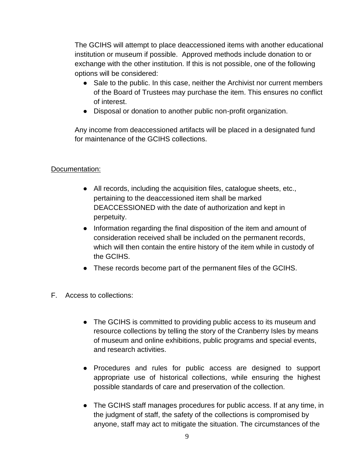The GCIHS will attempt to place deaccessioned items with another educational institution or museum if possible. Approved methods include donation to or exchange with the other institution. If this is not possible, one of the following options will be considered:

- Sale to the public. In this case, neither the Archivist nor current members of the Board of Trustees may purchase the item. This ensures no conflict of interest.
- Disposal or donation to another public non-profit organization.

Any income from deaccessioned artifacts will be placed in a designated fund for maintenance of the GCIHS collections.

## Documentation:

- **●** All records, including the acquisition files, catalogue sheets, etc., pertaining to the deaccessioned item shall be marked DEACCESSIONED with the date of authorization and kept in perpetuity.
- **●** Information regarding the final disposition of the item and amount of consideration received shall be included on the permanent records, which will then contain the entire history of the item while in custody of the GCIHS.
- **●** These records become part of the permanent files of the GCIHS.
- F. Access to collections:
	- **●** The GCIHS is committed to providing public access to its museum and resource collections by telling the story of the Cranberry Isles by means of museum and online exhibitions, public programs and special events, and research activities.
	- **●** Procedures and rules for public access are designed to support appropriate use of historical collections, while ensuring the highest possible standards of care and preservation of the collection.
	- **●** The GCIHS staff manages procedures for public access. If at any time, in the judgment of staff, the safety of the collections is compromised by anyone, staff may act to mitigate the situation. The circumstances of the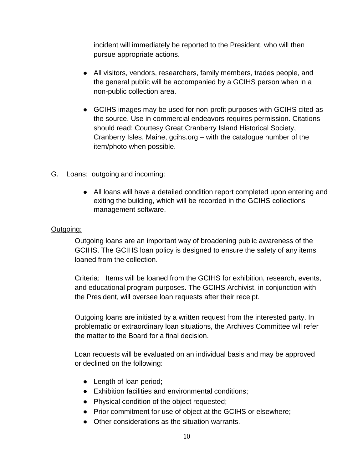incident will immediately be reported to the President, who will then pursue appropriate actions.

- **●** All visitors, vendors, researchers, family members, trades people, and the general public will be accompanied by a GCIHS person when in a non-public collection area.
- **●** GCIHS images may be used for non-profit purposes with GCIHS cited as the source. Use in commercial endeavors requires permission. Citations should read: Courtesy Great Cranberry Island Historical Society, Cranberry Isles, Maine, gcihs.org – with the catalogue number of the item/photo when possible.
- G. Loans: outgoing and incoming:
	- All loans will have a detailed condition report completed upon entering and exiting the building, which will be recorded in the GCIHS collections management software.

#### Outgoing:

Outgoing loans are an important way of broadening public awareness of the GCIHS. The GCIHS loan policy is designed to ensure the safety of any items loaned from the collection.

Criteria: Items will be loaned from the GCIHS for exhibition, research, events, and educational program purposes. The GCIHS Archivist, in conjunction with the President, will oversee loan requests after their receipt.

Outgoing loans are initiated by a written request from the interested party. In problematic or extraordinary loan situations, the Archives Committee will refer the matter to the Board for a final decision.

Loan requests will be evaluated on an individual basis and may be approved or declined on the following:

- **●** Length of loan period;
- **●** Exhibition facilities and environmental conditions;
- **●** Physical condition of the object requested;
- **●** Prior commitment for use of object at the GCIHS or elsewhere;
- **●** Other considerations as the situation warrants.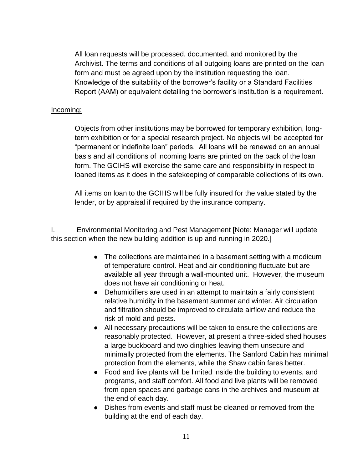All loan requests will be processed, documented, and monitored by the Archivist. The terms and conditions of all outgoing loans are printed on the loan form and must be agreed upon by the institution requesting the loan. Knowledge of the suitability of the borrower's facility or a Standard Facilities Report (AAM) or equivalent detailing the borrower's institution is a requirement.

#### Incoming:

Objects from other institutions may be borrowed for temporary exhibition, longterm exhibition or for a special research project. No objects will be accepted for "permanent or indefinite loan" periods. All loans will be renewed on an annual basis and all conditions of incoming loans are printed on the back of the loan form. The GCIHS will exercise the same care and responsibility in respect to loaned items as it does in the safekeeping of comparable collections of its own.

All items on loan to the GCIHS will be fully insured for the value stated by the lender, or by appraisal if required by the insurance company.

I. Environmental Monitoring and Pest Management [Note: Manager will update this section when the new building addition is up and running in 2020.]

- The collections are maintained in a basement setting with a modicum of temperature-control. Heat and air conditioning fluctuate but are available all year through a wall-mounted unit. However, the museum does not have air conditioning or heat.
- Dehumidifiers are used in an attempt to maintain a fairly consistent relative humidity in the basement summer and winter. Air circulation and filtration should be improved to circulate airflow and reduce the risk of mold and pests.
- All necessary precautions will be taken to ensure the collections are reasonably protected. However, at present a three-sided shed houses a large buckboard and two dinghies leaving them unsecure and minimally protected from the elements. The Sanford Cabin has minimal protection from the elements, while the Shaw cabin fares better.
- Food and live plants will be limited inside the building to events, and programs, and staff comfort. All food and live plants will be removed from open spaces and garbage cans in the archives and museum at the end of each day.
- Dishes from events and staff must be cleaned or removed from the building at the end of each day.